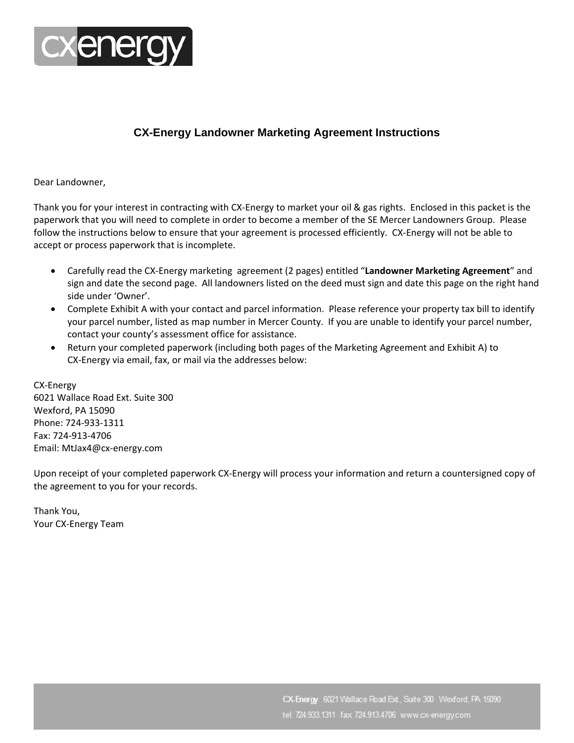

## **CX-Energy Landowner Marketing Agreement Instructions**

Dear Landowner,

Thank you for your interest in contracting with CX‐Energy to market your oil & gas rights. Enclosed in this packet is the paperwork that you will need to complete in order to become a member of the SE Mercer Landowners Group. Please follow the instructions below to ensure that your agreement is processed efficiently. CX-Energy will not be able to accept or process paperwork that is incomplete.

- Carefully read the CX‐Energy marketing agreement (2 pages) entitled "**Landowner Marketing Agreement**" and sign and date the second page. All landowners listed on the deed must sign and date this page on the right hand side under 'Owner'.
- Complete Exhibit A with your contact and parcel information. Please reference your property tax bill to identify your parcel number, listed as map number in Mercer County. If you are unable to identify your parcel number, contact your county's assessment office for assistance.
- Return your completed paperwork (including both pages of the Marketing Agreement and Exhibit A) to CX‐Energy via email, fax, or mail via the addresses below:

CX‐Energy 6021 Wallace Road Ext. Suite 300 Wexford, PA 15090 Phone: 724‐933‐1311 Fax: 724‐913‐4706 Email: MtJax4@cx‐energy.com

Upon receipt of your completed paperwork CX‐Energy will process your information and return a countersigned copy of the agreement to you for your records.

Thank You, Your CX‐Energy Team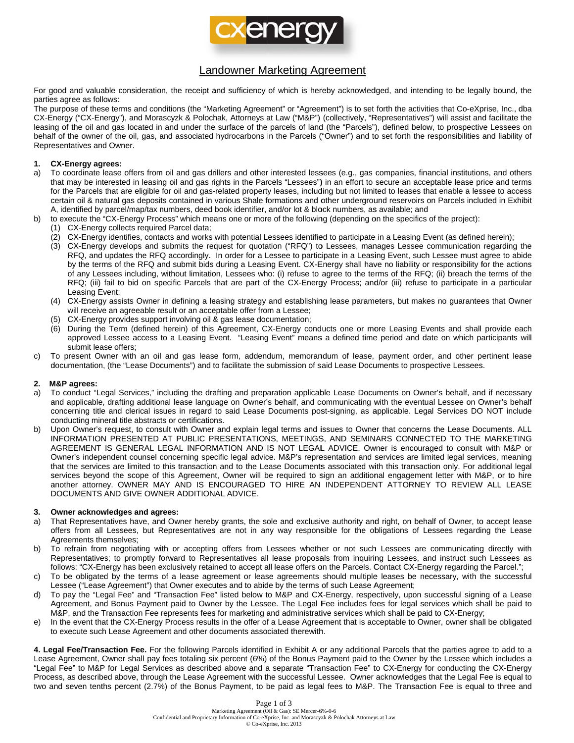

## **Landowner Marketing Agreement**

For good and valuable consideration, the receipt and sufficiency of which is hereby acknowledged, and intending to be legally bound, the parties agree as follows:

The purpose of these terms and conditions (the "Marketing Agreement" or "Agreement") is to set forth the activities that Co-eXprise, Inc., dba CX-Energy ("CX-Energy"), and Morascyzk & Polochak, Attorneys at Law ("M&P") (collectively, "Representatives") will assist and facilitate the leasing of the oil and gas located in and under the surface of the parcels of land (the "Parcels"), defined below, to prospective Lessees on behalf of the owner of the oil, gas, and associated hydrocarbons in the Parcels ("Owner") and to set forth the responsibilities and liability of Representatives and Owner.

#### **CX-Energy agrees:**  $1.$

b)

- To coordinate lease offers from oil and gas drillers and other interested lessees (e.g., gas companies, financial institutions, and others a) that may be interested in leasing oil and gas rights in the Parcels "Lessees") in an effort to secure an acceptable lease price and terms for the Parcels that are eligible for oil and gas-related property leases, including but not limited to leases that enable a lessee to access certain oil & natural gas deposits contained in various Shale formations and other underground reservoirs on Parcels included in Exhibit A, identified by parcel/map/tax numbers, deed book identifier, and/or lot & block numbers, as available; and
	- to execute the "CX-Energy Process" which means one or more of the following (depending on the specifics of the project):
	- (1) CX-Energy collects required Parcel data;
		- (2) CX-Energy identifies, contacts and works with potential Lessees identified to participate in a Leasing Event (as defined herein);
	- (3) CX-Energy develops and submits the request for quotation ("RFQ") to Lessees, manages Lessee communication regarding the RFQ, and updates the RFQ accordingly. In order for a Lessee to participate in a Leasing Event, such Lessee must agree to abide by the terms of the RFQ and submit bids during a Leasing Event. CX-Energy shall have no liability or responsibility for the actions of any Lessees including, without limitation, Lessees who: (i) refuse to agree to the terms of the RFQ; (ii) breach the terms of the RFQ; (iii) fail to bid on specific Parcels that are part of the CX-Energy Process; and/or (iii) refuse to participate in a particular Leasing Event;
	- (4) CX-Energy assists Owner in defining a leasing strategy and establishing lease parameters, but makes no guarantees that Owner will receive an agreeable result or an acceptable offer from a Lessee;
	- (5) CX-Energy provides support involving oil & gas lease documentation;
	- (6) During the Term (defined herein) of this Agreement, CX-Energy conducts one or more Leasing Events and shall provide each approved Lessee access to a Leasing Event. "Leasing Event" means a defined time period and date on which participants will submit lease offers;
- To present Owner with an oil and gas lease form, addendum, memorandum of lease, payment order, and other pertinent lease  $C)$ documentation, (the "Lease Documents") and to facilitate the submission of said Lease Documents to prospective Lessees.

#### **M&P** agrees:  $2.$

- To conduct "Legal Services," including the drafting and preparation applicable Lease Documents on Owner's behalf, and if necessary a) and applicable, drafting additional lease language on Owner's behalf, and communicating with the eventual Lessee on Owner's behalf concerning title and clerical issues in regard to said Lease Documents post-signing, as applicable. Legal Services DO NOT include conducting mineral title abstracts or certifications.
- Upon Owner's request, to consult with Owner and explain legal terms and issues to Owner that concerns the Lease Documents. ALL b) INFORMATION PRESENTED AT PUBLIC PRESENTATIONS, MEETINGS, AND SEMINARS CONNECTED TO THE MARKETING AGREEMENT IS GENERAL LEGAL INFORMATION AND IS NOT LEGAL ADVICE. Owner is encouraged to consult with M&P or Owner's independent counsel concerning specific legal advice. M&P's representation and services are limited legal services, meaning that the services are limited to this transaction and to the Lease Documents associated with this transaction only. For additional legal services beyond the scope of this Agreement, Owner will be required to sign an additional engagement letter with M&P, or to hire another attorney. OWNER MAY AND IS ENCOURAGED TO HIRE AN INDEPENDENT ATTORNEY TO REVIEW ALL LEASE DOCUMENTS AND GIVE OWNER ADDITIONAL ADVICE.

#### 3. Owner acknowledges and agrees:

- That Representatives have, and Owner hereby grants, the sole and exclusive authority and right, on behalf of Owner, to accept lease a) offers from all Lessees, but Representatives are not in any way responsible for the obligations of Lessees regarding the Lease Agreements themselves;
- To refrain from negotiating with or accepting offers from Lessees whether or not such Lessees are communicating directly with b) Representatives; to promptly forward to Representatives all lease proposals from inquiring Lessees, and instruct such Lessees as follows: "CX-Energy has been exclusively retained to accept all lease offers on the Parcels. Contact CX-Energy regarding the Parcel.";
- To be obligated by the terms of a lease agreement or lease agreements should multiple leases be necessary, with the successful c) Lessee ("Lease Agreement") that Owner executes and to abide by the terms of such Lease Agreement;
- To pay the "Legal Fee" and "Transaction Fee" listed below to M&P and CX-Energy, respectively, upon successful signing of a Lease d) Agreement, and Bonus Payment paid to Owner by the Lessee. The Legal Fee includes fees for legal services which shall be paid to M&P, and the Transaction Fee represents fees for marketing and administrative services which shall be paid to CX-Energy
- In the event that the CX-Energy Process results in the offer of a Lease Agreement that is acceptable to Owner, owner shall be obligated e) to execute such Lease Agreement and other documents associated therewith.

4. Legal Fee/Transaction Fee. For the following Parcels identified in Exhibit A or any additional Parcels that the parties agree to add to a Lease Agreement, Owner shall pay fees totaling six percent (6%) of the Bonus Payment paid to the Owner by the Lessee which includes a "Legal Fee" to M&P for Legal Services as described above and a separate "Transaction Fee" to CX-Energy for conducting the CX-Energy Process, as described above, through the Lease Agreement with the successful Lessee. Owner acknowledges that the Legal Fee is equal to two and seven tenths percent (2.7%) of the Bonus Payment, to be paid as legal fees to M&P. The Transaction Fee is equal to three and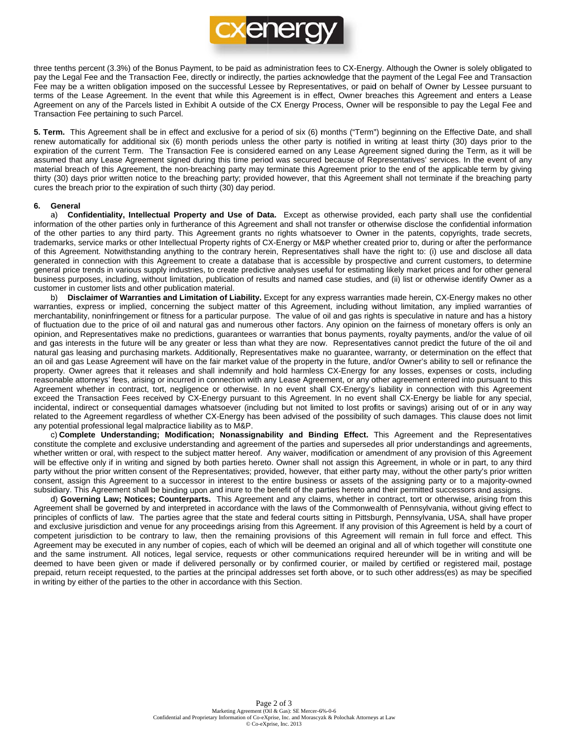

three tenths percent (3.3%) of the Bonus Payment, to be paid as administration fees to CX-Energy. Although the Owner is solely obligated to pay the Legal Fee and the Transaction Fee, directly or indirectly, the parties acknowledge that the payment of the Legal Fee and Transaction Fee may be a written obligation imposed on the successful Lessee by Representatives, or paid on behalf of Owner by Lessee pursuant to terms of the Lease Agreement. In the event that while this Agreement is in effect, Owner breaches this Agreement and enters a Lease Agreement on any of the Parcels listed in Exhibit A outside of the CX Energy Process, Owner will be responsible to pay the Legal Fee and Transaction Fee pertaining to such Parcel.

5. Term. This Agreement shall be in effect and exclusive for a period of six (6) months ("Term") beginning on the Effective Date, and shall renew automatically for additional six (6) month periods unless the other party is notified in writing at least thirty (30) days prior to the expiration of the current Term. The Transaction Fee is considered earned on any Lease Agreement signed during the Term, as it will be assumed that any Lease Agreement signed during this time period was secured because of Representatives' services. In the event of any material breach of this Agreement, the non-breaching party may terminate this Agreement prior to the end of the applicable term by giving thirty (30) days prior written notice to the breaching party; provided however, that this Agreement shall not terminate if the breaching party cures the breach prior to the expiration of such thirty (30) day period.

#### 6. General

a) Confidentiality, Intellectual Property and Use of Data. Except as otherwise provided, each party shall use the confidential information of the other parties only in furtherance of this Agreement and shall not transfer or otherwise disclose the confidential information of the other parties to any third party. This Agreement grants no rights whatsoever to Owner in the patents, copyrights, trade secrets, trademarks, service marks or other Intellectual Property rights of CX-Energy or M&P whether created prior to, during or after the performance of this Agreement. Notwithstanding anything to the contrary herein, Representatives shall have the right to: (i) use and disclose all data generated in connection with this Agreement to create a database that is accessible by prospective and current customers, to determine general price trends in various supply industries, to create predictive analyses useful for estimating likely market prices and for other general business purposes, including, without limitation, publication of results and named case studies, and (ii) list or otherwise identify Owner as a customer in customer lists and other publication material.

b) Disclaimer of Warranties and Limitation of Liability. Except for any express warranties made herein, CX-Energy makes no other warranties, express or implied, concerning the subject matter of this Agreement, including without limitation, any implied warranties of merchantability, noninfringement or fitness for a particular purpose. The value of oil and gas rights is speculative in nature and has a history of fluctuation due to the price of oil and natural gas and numerous other factors. Any opinion on the fairness of monetary offers is only an opinion, and Representatives make no predictions, quarantees or warranties that bonus payments, royalty payments, and/or the value of oil and gas interests in the future will be any greater or less than what they are now. Representatives cannot predict the future of the oil and natural gas leasing and purchasing markets. Additionally, Representatives make no guarantee, warranty, or determination on the effect that an oil and gas Lease Agreement will have on the fair market value of the property in the future, and/or Owner's ability to sell or refinance the property. Owner agrees that it releases and shall indemnify and hold harmless CX-Energy for any losses, expenses or costs, including reasonable attorneys' fees, arising or incurred in connection with any Lease Agreement, or any other agreement entered into pursuant to this Agreement whether in contract, tort, negligence or otherwise. In no event shall CX-Energy's liability in connection with this Agreement exceed the Transaction Fees received by CX-Energy pursuant to this Agreement. In no event shall CX-Energy be liable for any special, incidental, indirect or consequential damages whatsoever (including but not limited to lost profits or savings) arising out of or in any way related to the Agreement regardless of whether CX-Energy has been advised of the possibility of such damages. This clause does not limit any potential professional legal malpractice liability as to M&P.

c) Complete Understanding; Modification; Nonassignability and Binding Effect. This Agreement and the Representatives constitute the complete and exclusive understanding and agreement of the parties and supersedes all prior understandings and agreements, whether written or oral, with respect to the subject matter hereof. Any waiver, modification or amendment of any provision of this Agreement will be effective only if in writing and signed by both parties hereto. Owner shall not assign this Agreement, in whole or in part, to any third party without the prior written consent of the Representatives; provided, however, that either party may, without the other party's prior written consent, assign this Agreement to a successor in interest to the entire business or assets of the assigning party or to a majority-owned subsidiary. This Agreement shall be binding upon and inure to the benefit of the parties hereto and their permitted successors and assigns.

d) Governing Law; Notices; Counterparts. This Agreement and any claims, whether in contract, tort or otherwise, arising from this Agreement shall be governed by and interpreted in accordance with the laws of the Commonwealth of Pennsylvania, without giving effect to principles of conflicts of law. The parties agree that the state and federal courts sitting in Pittsburgh, Pennsylvania, USA, shall have proper and exclusive jurisdiction and venue for any proceedings arising from this Agreement. If any provision of this Agreement is held by a court of competent jurisdiction to be contrary to law, then the remaining provisions of this Agreement will remain in full force and effect. This Agreement may be executed in any number of copies, each of which will be deemed an original and all of which together will constitute one and the same instrument. All notices, legal service, requests or other communications required hereunder will be in writing and will be deemed to have been given or made if delivered personally or by confirmed courier, or mailed by certified or registered mail, postage prepaid, return receipt requested, to the parties at the principal addresses set forth above, or to such other address(es) as may be specified in writing by either of the parties to the other in accordance with this Section.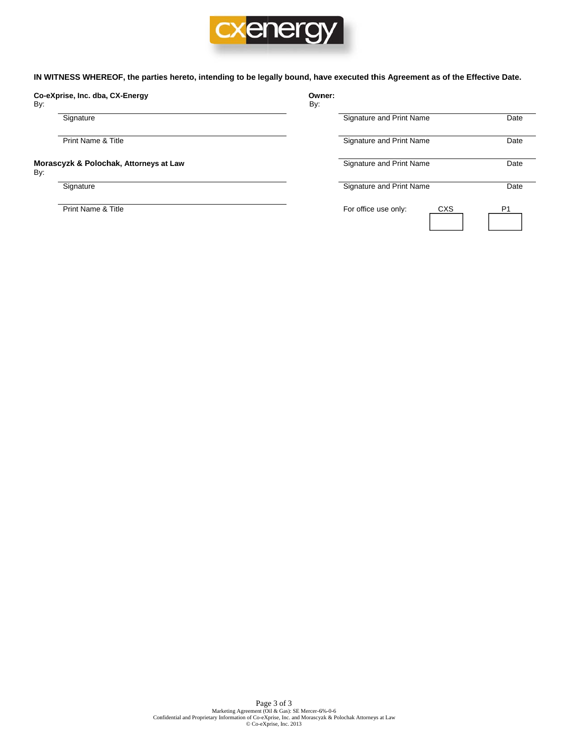

IN WITNESS WHEREOF, the parties hereto, intending to be legally bound, have executed this Agreement as of the Effective Date.

### Co-eXprise, Inc. dba, CX-Energy

By:

Signature

Print Name & Title

### Morascyzk & Polochak, Attorneys at Law By:

Signature

Print Name & Title

| Owner:<br>By: |                          |     |      |
|---------------|--------------------------|-----|------|
|               | Signature and Print Name |     | Date |
|               | Signature and Print Name |     | Date |
|               | Signature and Print Name |     | Date |
|               | Signature and Print Name |     | Date |
|               | For office use only:     | CXS | P1   |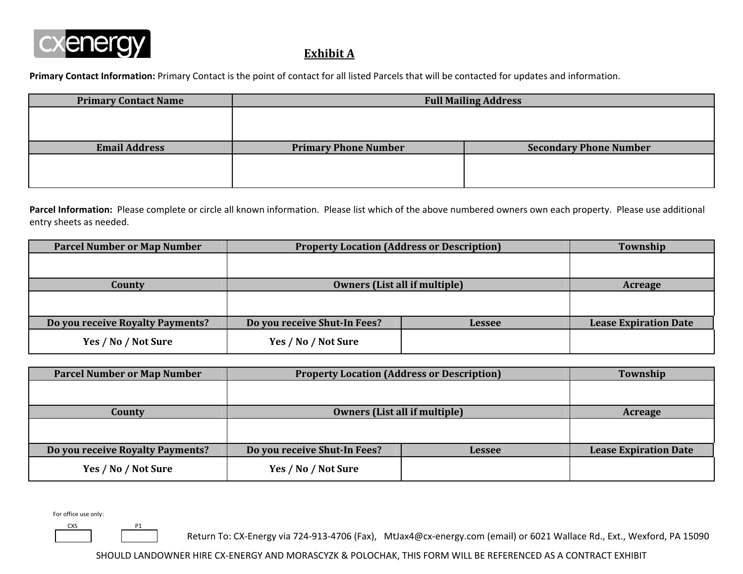

# **Exhibit A**

**Primary Contact Information:** Primary Contact is the point of contact for all listed Parcels that will be contacted for updates and information.

| <b>Primary Contact Name</b> | <b>Full Mailing Address</b> |                               |  |
|-----------------------------|-----------------------------|-------------------------------|--|
|                             |                             |                               |  |
|                             |                             |                               |  |
| <b>Email Address</b>        | <b>Primary Phone Number</b> | <b>Secondary Phone Number</b> |  |
|                             |                             |                               |  |
|                             |                             |                               |  |

**Parcel Information:** Please complete or circle all known information. Please list which of the above numbered owners own each property. Please use additional entry sheets as needed.

| <b>Parcel Number or Map Number</b> | <b>Property Location (Address or Description)</b> | Township      |                              |
|------------------------------------|---------------------------------------------------|---------------|------------------------------|
|                                    |                                                   |               |                              |
|                                    |                                                   |               |                              |
| County                             | <b>Owners (List all if multiple)</b>              |               | Acreage                      |
|                                    |                                                   |               |                              |
|                                    |                                                   |               |                              |
| Do you receive Royalty Payments?   | Do you receive Shut-In Fees?                      | <b>Lessee</b> | <b>Lease Expiration Date</b> |
| Yes / No / Not Sure                | Yes / No / Not Sure                               |               |                              |

| <b>Parcel Number or Map Number</b> | <b>Property Location (Address or Description)</b> |               | Township                     |
|------------------------------------|---------------------------------------------------|---------------|------------------------------|
|                                    |                                                   |               |                              |
| <b>County</b>                      | <b>Owners (List all if multiple)</b>              |               | Acreage                      |
|                                    |                                                   |               |                              |
|                                    |                                                   |               |                              |
| Do you receive Royalty Payments?   | Do you receive Shut-In Fees?                      | <b>Lessee</b> | <b>Lease Expiration Date</b> |
| Yes / No / Not Sure                | Yes / No / Not Sure                               |               |                              |

For office use only:

CXSP1

Return To: CX‐Energy via 724‐913‐4706 (Fax), MtJax4@cx‐energy.com (email) or 6021 Wallace Rd., Ext., Wexford, PA 15090

SHOULD LANDOWNER HIRE CX‐ENERGY AND MORASCYZK & POLOCHAK, THIS FORM WILL BE REFERENCED AS A CONTRACT EXHIBIT